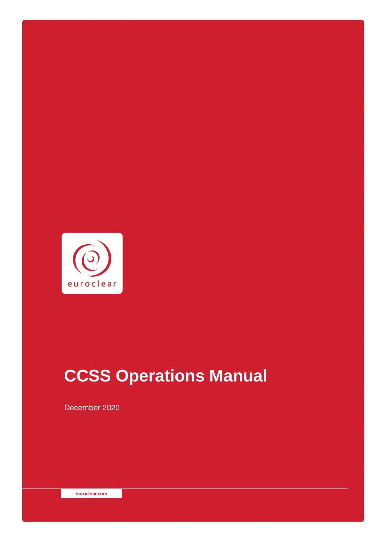

# **CCSS Operations Manual**

December 2020

euroclear.com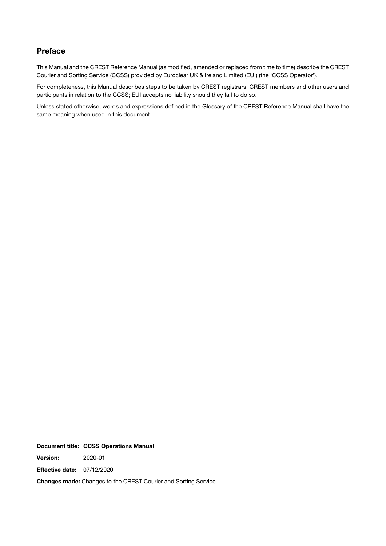#### **Preface**

This Manual and the CREST Reference Manual (as modified, amended or replaced from time to time) describe the CREST Courier and Sorting Service (CCSS) provided by Euroclear UK & Ireland Limited (EUI) (the 'CCSS Operator').

For completeness, this Manual describes steps to be taken by CREST registrars, CREST members and other users and participants in relation to the CCSS; EUI accepts no liability should they fail to do so.

Unless stated otherwise, words and expressions defined in the Glossary of the CREST Reference Manual shall have the same meaning when used in this document.

**Document title: CCSS Operations Manual**

**Version:** 2020-01

**Effective date:** 07/12/2020

**Changes made:** Changes to the CREST Courier and Sorting Service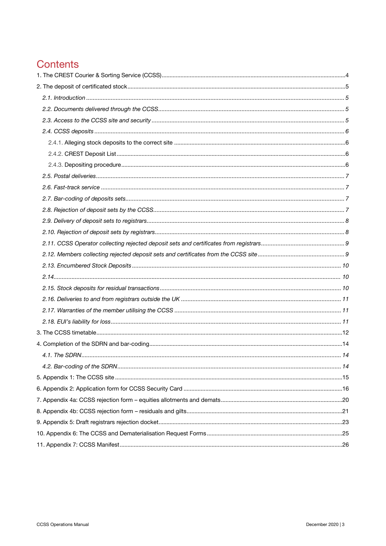## **Contents**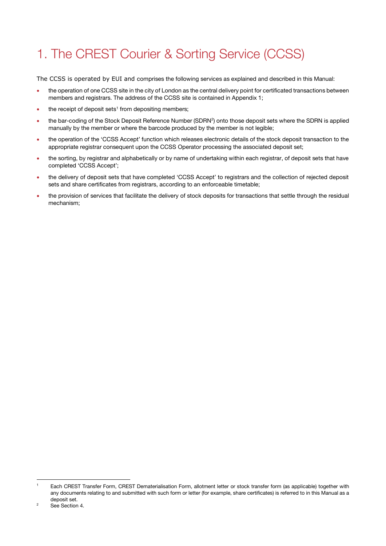# <span id="page-3-0"></span>1. The CREST Courier & Sorting Service (CCSS)

The CCSS is operated by EUI and comprises the following services as explained and described in this Manual:

- the operation of one CCSS site in the city of London as the central delivery point for certificated transactions between members and registrars. The address of the CCSS site is contained in Appendix 1:
- the receipt of deposit sets<sup>1</sup> from depositing members;
- the bar-coding of the Stock Deposit Reference Number (SDRN<sup>2</sup>) onto those deposit sets where the SDRN is applied manually by the member or where the barcode produced by the member is not legible;
- the operation of the 'CCSS Accept' function which releases electronic details of the stock deposit transaction to the appropriate registrar consequent upon the CCSS Operator processing the associated deposit set;
- the sorting, by registrar and alphabetically or by name of undertaking within each registrar, of deposit sets that have completed 'CCSS Accept';
- the delivery of deposit sets that have completed 'CCSS Accept' to registrars and the collection of rejected deposit sets and share certificates from registrars, according to an enforceable timetable;
- the provision of services that facilitate the delivery of stock deposits for transactions that settle through the residual mechanism;

-

<sup>1</sup> Each CREST Transfer Form, CREST Dematerialisation Form, allotment letter or stock transfer form (as applicable) together with any documents relating to and submitted with such form or letter (for example, share certificates) is referred to in this Manual as a deposit set.

<sup>&</sup>lt;sup>2</sup> See Section 4.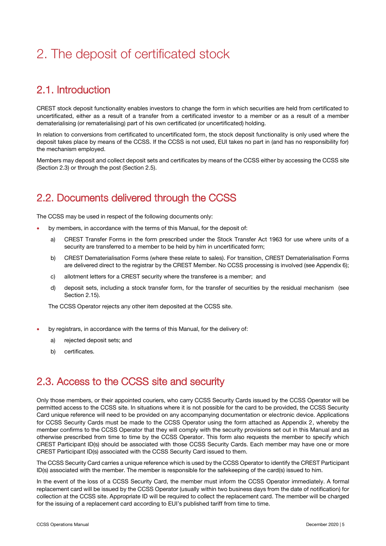# <span id="page-4-0"></span>2. The deposit of certificated stock

### <span id="page-4-1"></span>2.1. Introduction

CREST stock deposit functionality enables investors to change the form in which securities are held from certificated to uncertificated, either as a result of a transfer from a certificated investor to a member or as a result of a member dematerialising (or rematerialising) part of his own certificated (or uncertificated) holding.

In relation to conversions from certificated to uncertificated form, the stock deposit functionality is only used where the deposit takes place by means of the CCSS. If the CCSS is not used, EUI takes no part in (and has no responsibility for) the mechanism employed.

Members may deposit and collect deposit sets and certificates by means of the CCSS either by accessing the CCSS site (Section 2.3) or through the post (Section 2.5).

#### <span id="page-4-2"></span>2.2. Documents delivered through the CCSS

The CCSS may be used in respect of the following documents only:

- by members, in accordance with the terms of this Manual, for the deposit of:
	- a) CREST Transfer Forms in the form prescribed under the Stock Transfer Act 1963 for use where units of a security are transferred to a member to be held by him in uncertificated form;
	- b) CREST Dematerialisation Forms (where these relate to sales). For transition, CREST Dematerialisation Forms are delivered direct to the registrar by the CREST Member. No CCSS processing is involved (see Appendix 6);
	- c) allotment letters for a CREST security where the transferee is a member; and
	- d) deposit sets, including a stock transfer form, for the transfer of securities by the residual mechanism (see Section 2.15).

The CCSS Operator rejects any other item deposited at the CCSS site.

- by registrars, in accordance with the terms of this Manual, for the delivery of:
	- a) rejected deposit sets; and
	- b) certificates.

#### <span id="page-4-3"></span>2.3. Access to the CCSS site and security

Only those members, or their appointed couriers, who carry CCSS Security Cards issued by the CCSS Operator will be permitted access to the CCSS site. In situations where it is not possible for the card to be provided, the CCSS Security Card unique reference will need to be provided on any accompanying documentation or electronic device. Applications for CCSS Security Cards must be made to the CCSS Operator using the form attached as Appendix 2, whereby the member confirms to the CCSS Operator that they will comply with the security provisions set out in this Manual and as otherwise prescribed from time to time by the CCSS Operator. This form also requests the member to specify which CREST Participant ID(s) should be associated with those CCSS Security Cards. Each member may have one or more CREST Participant ID(s) associated with the CCSS Security Card issued to them.

The CCSS Security Card carries a unique reference which is used by the CCSS Operator to identify the CREST Participant ID(s) associated with the member. The member is responsible for the safekeeping of the card(s) issued to him.

In the event of the loss of a CCSS Security Card, the member must inform the CCSS Operator immediately. A formal replacement card will be issued by the CCSS Operator (usually within two business days from the date of notification) for collection at the CCSS site. Appropriate ID will be required to collect the replacement card. The member will be charged for the issuing of a replacement card according to EUI's published tariff from time to time.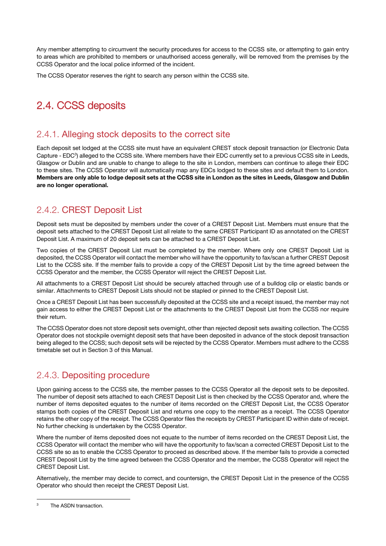Any member attempting to circumvent the security procedures for access to the CCSS site, or attempting to gain entry to areas which are prohibited to members or unauthorised access generally, will be removed from the premises by the CCSS Operator and the local police informed of the incident.

<span id="page-5-0"></span>The CCSS Operator reserves the right to search any person within the CCSS site.

## 2.4. CCSS deposits

#### <span id="page-5-1"></span>2.4.1. Alleging stock deposits to the correct site

Each deposit set lodged at the CCSS site must have an equivalent CREST stock deposit transaction (or Electronic Data Capture - EDC<sup>3</sup>) alleged to the CCSS site. Where members have their EDC currently set to a previous CCSS site in Leeds, Glasgow or Dublin and are unable to change to allege to the site in London, members can continue to allege their EDC to these sites. The CCSS Operator will automatically map any EDCs lodged to these sites and default them to London. **Members are only able to lodge deposit sets at the CCSS site in London as the sites in Leeds, Glasgow and Dublin are no longer operational.**

#### <span id="page-5-2"></span>2.4.2. CREST Deposit List

Deposit sets must be deposited by members under the cover of a CREST Deposit List. Members must ensure that the deposit sets attached to the CREST Deposit List all relate to the same CREST Participant ID as annotated on the CREST Deposit List. A maximum of 20 deposit sets can be attached to a CREST Deposit List.

Two copies of the CREST Deposit List must be completed by the member. Where only one CREST Deposit List is deposited, the CCSS Operator will contact the member who will have the opportunity to fax/scan a further CREST Deposit List to the CCSS site. If the member fails to provide a copy of the CREST Deposit List by the time agreed between the CCSS Operator and the member, the CCSS Operator will reject the CREST Deposit List.

All attachments to a CREST Deposit List should be securely attached through use of a bulldog clip or elastic bands or similar. Attachments to CREST Deposit Lists should not be stapled or pinned to the CREST Deposit List.

Once a CREST Deposit List has been successfully deposited at the CCSS site and a receipt issued, the member may not gain access to either the CREST Deposit List or the attachments to the CREST Deposit List from the CCSS nor require their return.

The CCSS Operator does not store deposit sets overnight, other than rejected deposit sets awaiting collection. The CCSS Operator does not stockpile overnight deposit sets that have been deposited in advance of the stock deposit transaction being alleged to the CCSS; such deposit sets will be rejected by the CCSS Operator. Members must adhere to the CCSS timetable set out in Section 3 of this Manual.

#### <span id="page-5-3"></span>2.4.3. Depositing procedure

Upon gaining access to the CCSS site, the member passes to the CCSS Operator all the deposit sets to be deposited. The number of deposit sets attached to each CREST Deposit List is then checked by the CCSS Operator and, where the number of items deposited equates to the number of items recorded on the CREST Deposit List, the CCSS Operator stamps both copies of the CREST Deposit List and returns one copy to the member as a receipt. The CCSS Operator retains the other copy of the receipt. The CCSS Operator files the receipts by CREST Participant ID within date of receipt. No further checking is undertaken by the CCSS Operator.

Where the number of items deposited does not equate to the number of items recorded on the CREST Deposit List, the CCSS Operator will contact the member who will have the opportunity to fax/scan a corrected CREST Deposit List to the CCSS site so as to enable the CCSS Operator to proceed as described above. If the member fails to provide a corrected CREST Deposit List by the time agreed between the CCSS Operator and the member, the CCSS Operator will reject the CREST Deposit List.

Alternatively, the member may decide to correct, and countersign, the CREST Deposit List in the presence of the CCSS Operator who should then receipt the CREST Deposit List.

 $\overline{3}$ The ASDN transaction.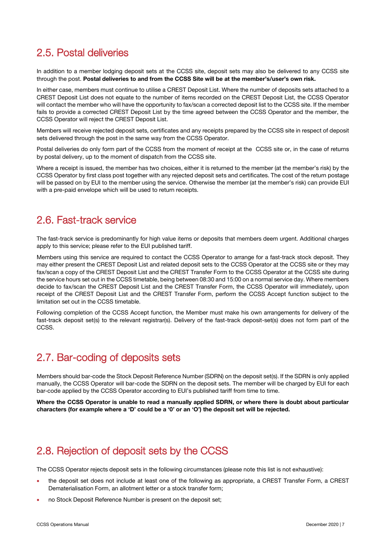#### <span id="page-6-0"></span>2.5. Postal deliveries

In addition to a member lodging deposit sets at the CCSS site, deposit sets may also be delivered to any CCSS site through the post. **Postal deliveries to and from the CCSS Site will be at the member's/user's own risk.**

In either case, members must continue to utilise a CREST Deposit List. Where the number of deposits sets attached to a CREST Deposit List does not equate to the number of items recorded on the CREST Deposit List, the CCSS Operator will contact the member who will have the opportunity to fax/scan a corrected deposit list to the CCSS site. If the member fails to provide a corrected CREST Deposit List by the time agreed between the CCSS Operator and the member, the CCSS Operator will reject the CREST Deposit List.

Members will receive rejected deposit sets, certificates and any receipts prepared by the CCSS site in respect of deposit sets delivered through the post in the same way from the CCSS Operator.

Postal deliveries do only form part of the CCSS from the moment of receipt at the CCSS site or, in the case of returns by postal delivery, up to the moment of dispatch from the CCSS site.

Where a receipt is issued, the member has two choices, either it is returned to the member (at the member's risk) by the CCSS Operator by first class post together with any rejected deposit sets and certificates. The cost of the return postage will be passed on by EUI to the member using the service. Otherwise the member (at the member's risk) can provide EUI with a pre-paid envelope which will be used to return receipts.

#### <span id="page-6-1"></span>2.6. Fast-track service

The fast-track service is predominantly for high value items or deposits that members deem urgent. Additional charges apply to this service; please refer to the EUI published tariff.

Members using this service are required to contact the CCSS Operator to arrange for a fast-track stock deposit. They may either present the CREST Deposit List and related deposit sets to the CCSS Operator at the CCSS site or they may fax/scan a copy of the CREST Deposit List and the CREST Transfer Form to the CCSS Operator at the CCSS site during the service hours set out in the CCSS timetable, being between 08:30 and 15:00 on a normal service day. Where members decide to fax/scan the CREST Deposit List and the CREST Transfer Form, the CCSS Operator will immediately, upon receipt of the CREST Deposit List and the CREST Transfer Form, perform the CCSS Accept function subject to the limitation set out in the CCSS timetable.

Following completion of the CCSS Accept function, the Member must make his own arrangements for delivery of the fast-track deposit set(s) to the relevant registrar(s). Delivery of the fast-track deposit-set(s) does not form part of the CCSS.

#### <span id="page-6-2"></span>2.7. Bar-coding of deposits sets

Members should bar-code the Stock Deposit Reference Number (SDRN) on the deposit set(s). If the SDRN is only applied manually, the CCSS Operator will bar-code the SDRN on the deposit sets. The member will be charged by EUI for each bar-code applied by the CCSS Operator according to EUI's published tariff from time to time.

**Where the CCSS Operator is unable to read a manually applied SDRN, or where there is doubt about particular characters (for example where a 'D' could be a '0' or an 'O') the deposit set will be rejected.**

#### <span id="page-6-3"></span>2.8. Rejection of deposit sets by the CCSS

The CCSS Operator rejects deposit sets in the following circumstances (please note this list is not exhaustive):

- the deposit set does not include at least one of the following as appropriate, a CREST Transfer Form, a CREST Dematerialisation Form, an allotment letter or a stock transfer form;
- no Stock Deposit Reference Number is present on the deposit set;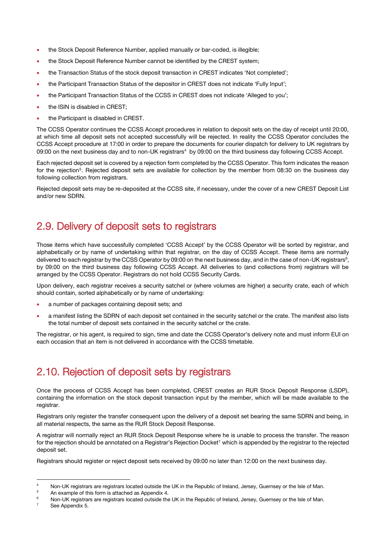- the Stock Deposit Reference Number, applied manually or bar-coded, is illegible;
- the Stock Deposit Reference Number cannot be identified by the CREST system;
- the Transaction Status of the stock deposit transaction in CREST indicates 'Not completed';
- the Participant Transaction Status of the depositor in CREST does not indicate 'Fully Input';
- the Participant Transaction Status of the CCSS in CREST does not indicate 'Alleged to you';
- the ISIN is disabled in CREST;
- the Participant is disabled in CREST.

The CCSS Operator continues the CCSS Accept procedures in relation to deposit sets on the day of receipt until 20:00, at which time all deposit sets not accepted successfully will be rejected. In reality the CCSS Operator concludes the CCSS Accept procedure at 17:00 in order to prepare the documents for courier dispatch for delivery to UK registrars by 09:00 on the next business day and to non-UK registrars<sup>4</sup> by 09:00 on the third business day following CCSS Accept.

Each rejected deposit set is covered by a rejection form completed by the CCSS Operator. This form indicates the reason for the rejection<sup>5</sup>. Rejected deposit sets are available for collection by the member from 08:30 on the business day following collection from registrars.

Rejected deposit sets may be re-deposited at the CCSS site, if necessary, under the cover of a new CREST Deposit List and/or new SDRN.

#### <span id="page-7-0"></span>2.9. Delivery of deposit sets to registrars

Those items which have successfully completed 'CCSS Accept' by the CCSS Operator will be sorted by registrar, and alphabetically or by name of undertaking within that registrar, on the day of CCSS Accept. These items are normally delivered to each registrar by the CCSS Operator by 09:00 on the next business day, and in the case of non-UK registrars<sup>6</sup>, by 09:00 on the third business day following CCSS Accept. All deliveries to (and collections from) registrars will be arranged by the CCSS Operator. Registrars do not hold CCSS Security Cards.

Upon delivery, each registrar receives a security satchel or (where volumes are higher) a security crate, each of which should contain, sorted alphabetically or by name of undertaking:

- a number of packages containing deposit sets; and
- a manifest listing the SDRN of each deposit set contained in the security satchel or the crate. The manifest also lists the total number of deposit sets contained in the security satchel or the crate.

The registrar, or his agent, is required to sign, time and date the CCSS Operator's delivery note and must inform EUI on each occasion that an item is not delivered in accordance with the CCSS timetable.

#### <span id="page-7-1"></span>2.10. Rejection of deposit sets by registrars

Once the process of CCSS Accept has been completed, CREST creates an RUR Stock Deposit Response (LSDP), containing the information on the stock deposit transaction input by the member, which will be made available to the registrar.

Registrars only register the transfer consequent upon the delivery of a deposit set bearing the same SDRN and being, in all material respects, the same as the RUR Stock Deposit Response.

A registrar will normally reject an RUR Stock Deposit Response where he is unable to process the transfer. The reason for the rejection should be annotated on a Registrar's Rejection Docket<sup>7</sup> which is appended by the registrar to the rejected deposit set.

Registrars should register or reject deposit sets received by 09:00 no later than 12:00 on the next business day.

 $\overline{4}$ <sup>4</sup> Non-UK registrars are registrars located outside the UK in the Republic of Ireland, Jersey, Guernsey or the Isle of Man.<br><sup>5</sup> An example of this form is etterbed as Annondix 4.

 $5$  An example of this form is attached as Appendix 4.

<sup>6</sup> Non-UK registrars are registrars located outside the UK in the Republic of Ireland, Jersey, Guernsey or the Isle of Man.

See Appendix 5.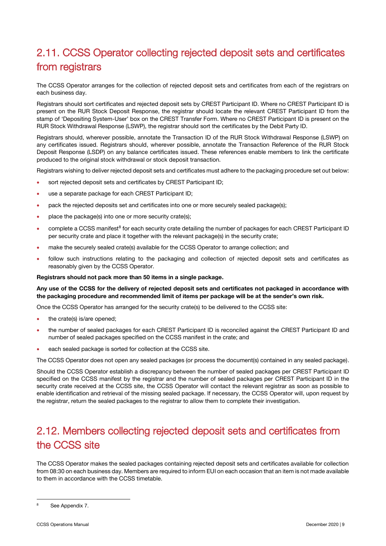## <span id="page-8-0"></span>2.11. CCSS Operator collecting rejected deposit sets and certificates from registrars

The CCSS Operator arranges for the collection of rejected deposit sets and certificates from each of the registrars on each business day.

Registrars should sort certificates and rejected deposit sets by CREST Participant ID. Where no CREST Participant ID is present on the RUR Stock Deposit Response, the registrar should locate the relevant CREST Participant ID from the stamp of 'Depositing System-User' box on the CREST Transfer Form. Where no CREST Participant ID is present on the RUR Stock Withdrawal Response (LSWP), the registrar should sort the certificates by the Debit Party ID.

Registrars should, wherever possible, annotate the Transaction ID of the RUR Stock Withdrawal Response (LSWP) on any certificates issued. Registrars should, wherever possible, annotate the Transaction Reference of the RUR Stock Deposit Response (LSDP) on any balance certificates issued. These references enable members to link the certificate produced to the original stock withdrawal or stock deposit transaction.

Registrars wishing to deliver rejected deposit sets and certificates must adhere to the packaging procedure set out below:

- sort rejected deposit sets and certificates by CREST Participant ID;
- use a separate package for each CREST Participant ID;
- pack the rejected deposits set and certificates into one or more securely sealed package(s);
- place the package(s) into one or more security crate(s);
- complete a CCSS manifest<sup>8</sup> for each security crate detailing the number of packages for each CREST Participant ID per security crate and place it together with the relevant package(s) in the security crate;
- make the securely sealed crate(s) available for the CCSS Operator to arrange collection; and
- follow such instructions relating to the packaging and collection of rejected deposit sets and certificates as reasonably given by the CCSS Operator.

#### **Registrars should not pack more than 50 items in a single package.**

#### **Any use of the CCSS for the delivery of rejected deposit sets and certificates not packaged in accordance with the packaging procedure and recommended limit of items per package will be at the sender's own risk.**

Once the CCSS Operator has arranged for the security crate(s) to be delivered to the CCSS site:

- the crate(s) is/are opened;
- the number of sealed packages for each CREST Participant ID is reconciled against the CREST Participant ID and number of sealed packages specified on the CCSS manifest in the crate; and
- each sealed package is sorted for collection at the CCSS site.

The CCSS Operator does not open any sealed packages (or process the document(s) contained in any sealed package).

Should the CCSS Operator establish a discrepancy between the number of sealed packages per CREST Participant ID specified on the CCSS manifest by the registrar and the number of sealed packages per CREST Participant ID in the security crate received at the CCSS site, the CCSS Operator will contact the relevant registrar as soon as possible to enable identification and retrieval of the missing sealed package. If necessary, the CCSS Operator will, upon request by the registrar, return the sealed packages to the registrar to allow them to complete their investigation.

## <span id="page-8-1"></span>2.12. Members collecting rejected deposit sets and certificates from the CCSS site

The CCSS Operator makes the sealed packages containing rejected deposit sets and certificates available for collection from 08:30 on each business day. Members are required to inform EUI on each occasion that an item is not made available to them in accordance with the CCSS timetable.

<sup>&</sup>lt;sup>8</sup> See Appendix 7.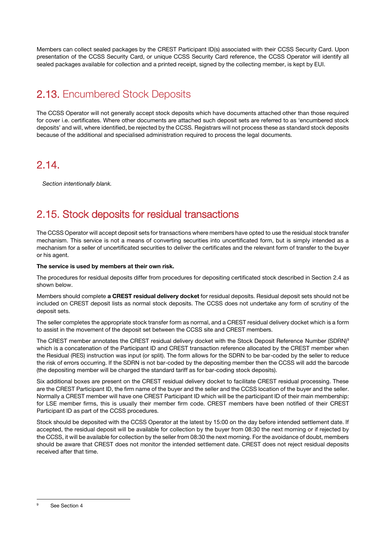Members can collect sealed packages by the CREST Participant ID(s) associated with their CCSS Security Card. Upon presentation of the CCSS Security Card, or unique CCSS Security Card reference, the CCSS Operator will identify all sealed packages available for collection and a printed receipt, signed by the collecting member, is kept by EUI.

## <span id="page-9-0"></span>2.13. Encumbered Stock Deposits

The CCSS Operator will not generally accept stock deposits which have documents attached other than those required for cover i.e. certificates. Where other documents are attached such deposit sets are referred to as 'encumbered stock deposits' and will, where identified, be rejected by the CCSS. Registrars will not process these as standard stock deposits because of the additional and specialised administration required to process the legal documents.

#### 2.14.

<span id="page-9-1"></span>*Section intentionally blank.* 

## 2.15. Stock deposits for residual transactions

The CCSS Operator will accept deposit sets for transactions where members have opted to use the residual stock transfer mechanism. This service is not a means of converting securities into uncertificated form, but is simply intended as a mechanism for a seller of uncertificated securities to deliver the certificates and the relevant form of transfer to the buyer or his agent.

#### **The service is used by members at their own risk.**

The procedures for residual deposits differ from procedures for depositing certificated stock described in Section 2.4 as shown below.

Members should complete **a CREST residual delivery docket** for residual deposits. Residual deposit sets should not be included on CREST deposit lists as normal stock deposits. The CCSS does not undertake any form of scrutiny of the deposit sets.

The seller completes the appropriate stock transfer form as normal, and a CREST residual delivery docket which is a form to assist in the movement of the deposit set between the CCSS site and CREST members.

The CREST member annotates the CREST residual delivery docket with the Stock Deposit Reference Number (SDRN)<sup>9</sup> which is a concatenation of the Participant ID and CREST transaction reference allocated by the CREST member when the Residual (RES) instruction was input (or split). The form allows for the SDRN to be bar-coded by the seller to reduce the risk of errors occurring. If the SDRN is not bar-coded by the depositing member then the CCSS will add the barcode (the depositing member will be charged the standard tariff as for bar-coding stock deposits).

Six additional boxes are present on the CREST residual delivery docket to facilitate CREST residual processing. These are the CREST Participant ID, the firm name of the buyer and the seller and the CCSS location of the buyer and the seller. Normally a CREST member will have one CREST Participant ID which will be the participant ID of their main membership: for LSE member firms, this is usually their member firm code. CREST members have been notified of their CREST Participant ID as part of the CCSS procedures.

Stock should be deposited with the CCSS Operator at the latest by 15:00 on the day before intended settlement date. If accepted, the residual deposit will be available for collection by the buyer from 08:30 the next morning or if rejected by the CCSS, it will be available for collection by the seller from 08:30 the next morning. For the avoidance of doubt, members should be aware that CREST does not monitor the intended settlement date. CREST does not reject residual deposits received after that time.

See Section 4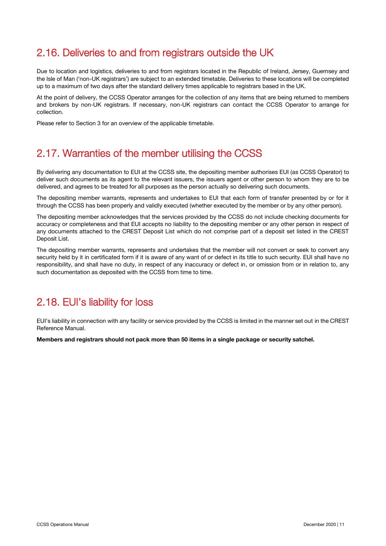### <span id="page-10-0"></span>2.16. Deliveries to and from registrars outside the UK

Due to location and logistics, deliveries to and from registrars located in the Republic of Ireland, Jersey, Guernsey and the Isle of Man ('non-UK registrars') are subject to an extended timetable. Deliveries to these locations will be completed up to a maximum of two days after the standard delivery times applicable to registrars based in the UK.

At the point of delivery, the CCSS Operator arranges for the collection of any items that are being returned to members and brokers by non-UK registrars. If necessary, non-UK registrars can contact the CCSS Operator to arrange for collection.

<span id="page-10-1"></span>Please refer to Section 3 for an overview of the applicable timetable.

## 2.17. Warranties of the member utilising the CCSS

By delivering any documentation to EUI at the CCSS site, the depositing member authorises EUI (as CCSS Operator) to deliver such documents as its agent to the relevant issuers, the issuers agent or other person to whom they are to be delivered, and agrees to be treated for all purposes as the person actually so delivering such documents.

The depositing member warrants, represents and undertakes to EUI that each form of transfer presented by or for it through the CCSS has been properly and validly executed (whether executed by the member or by any other person).

The depositing member acknowledges that the services provided by the CCSS do not include checking documents for accuracy or completeness and that EUI accepts no liability to the depositing member or any other person in respect of any documents attached to the CREST Deposit List which do not comprise part of a deposit set listed in the CREST Deposit List.

The depositing member warrants, represents and undertakes that the member will not convert or seek to convert any security held by it in certificated form if it is aware of any want of or defect in its title to such security. EUI shall have no responsibility, and shall have no duty, in respect of any inaccuracy or defect in, or omission from or in relation to, any such documentation as deposited with the CCSS from time to time.

#### <span id="page-10-2"></span>2.18. EUI's liability for loss

EUI's liability in connection with any facility or service provided by the CCSS is limited in the manner set out in the CREST Reference Manual.

#### **Members and registrars should not pack more than 50 items in a single package or security satchel.**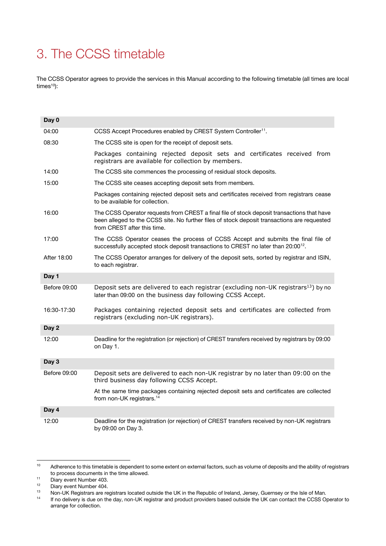## <span id="page-11-0"></span>3. The CCSS timetable

The CCSS Operator agrees to provide the services in this Manual according to the following timetable (all times are local times<sup>10</sup>):

| Day 0        |                                                                                                                                                                                                                          |  |  |  |  |  |
|--------------|--------------------------------------------------------------------------------------------------------------------------------------------------------------------------------------------------------------------------|--|--|--|--|--|
| 04:00        | CCSS Accept Procedures enabled by CREST System Controller <sup>11</sup> .                                                                                                                                                |  |  |  |  |  |
| 08:30        | The CCSS site is open for the receipt of deposit sets.                                                                                                                                                                   |  |  |  |  |  |
|              | Packages containing rejected deposit sets and certificates received from<br>registrars are available for collection by members.                                                                                          |  |  |  |  |  |
| 14:00        | The CCSS site commences the processing of residual stock deposits.                                                                                                                                                       |  |  |  |  |  |
| 15:00        | The CCSS site ceases accepting deposit sets from members.                                                                                                                                                                |  |  |  |  |  |
|              | Packages containing rejected deposit sets and certificates received from registrars cease<br>to be available for collection.                                                                                             |  |  |  |  |  |
| 16:00        | The CCSS Operator requests from CREST a final file of stock deposit transactions that have<br>been alleged to the CCSS site. No further files of stock deposit transactions are requested<br>from CREST after this time. |  |  |  |  |  |
| 17:00        | The CCSS Operator ceases the process of CCSS Accept and submits the final file of<br>successfully accepted stock deposit transactions to CREST no later than 20:00 <sup>12</sup> .                                       |  |  |  |  |  |
| After 18:00  | The CCSS Operator arranges for delivery of the deposit sets, sorted by registrar and ISIN,<br>to each registrar.                                                                                                         |  |  |  |  |  |
| Day 1        |                                                                                                                                                                                                                          |  |  |  |  |  |
| Before 09:00 | Deposit sets are delivered to each registrar (excluding non-UK registrars <sup>13</sup> ) by no<br>later than 09:00 on the business day following CCSS Accept.                                                           |  |  |  |  |  |
| 16:30-17:30  | Packages containing rejected deposit sets and certificates are collected from<br>registrars (excluding non-UK registrars).                                                                                               |  |  |  |  |  |
| Day 2        |                                                                                                                                                                                                                          |  |  |  |  |  |
| 12:00        | Deadline for the registration (or rejection) of CREST transfers received by registrars by 09:00<br>on Day 1.                                                                                                             |  |  |  |  |  |
| Day 3        |                                                                                                                                                                                                                          |  |  |  |  |  |
| Before 09:00 | Deposit sets are delivered to each non-UK registrar by no later than 09:00 on the<br>third business day following CCSS Accept.                                                                                           |  |  |  |  |  |
|              | At the same time packages containing rejected deposit sets and certificates are collected<br>from non-UK registrars. <sup>14</sup>                                                                                       |  |  |  |  |  |
| Day 4        |                                                                                                                                                                                                                          |  |  |  |  |  |
| 12:00        | Deadline for the registration (or rejection) of CREST transfers received by non-UK registrars<br>by 09:00 on Day 3.                                                                                                      |  |  |  |  |  |

 $10\,$ Adherence to this timetable is dependent to some extent on external factors, such as volume of deposits and the ability of registrars to process documents in the time allowed.

<sup>&</sup>lt;sup>11</sup> Diary event Number 403.<br><sup>12</sup> Diary event Number 404.

 $12$  Diary event Number 404.<br> $13$  Non-LIK Begistrars are re

<sup>13</sup> Non-UK Registrars are registrars located outside the UK in the Republic of Ireland, Jersey, Guernsey or the Isle of Man.<br>14 If no delivery is due on the day, non-IJK registrar and product providers based outside the UK

If no delivery is due on the day, non-UK registrar and product providers based outside the UK can contact the CCSS Operator to arrange for collection.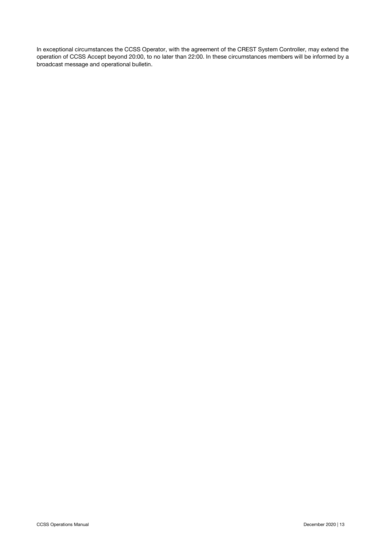In exceptional circumstances the CCSS Operator, with the agreement of the CREST System Controller, may extend the operation of CCSS Accept beyond 20:00, to no later than 22:00. In these circumstances members will be informed by a broadcast message and operational bulletin.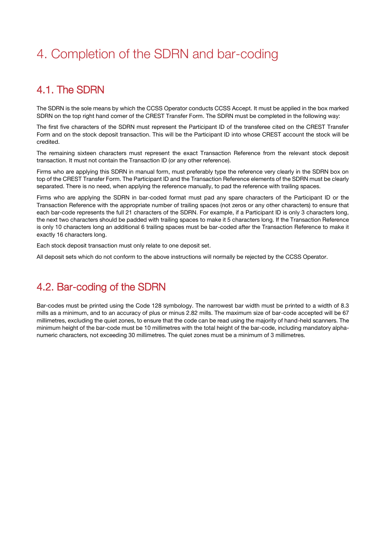# <span id="page-13-0"></span>4. Completion of the SDRN and bar-coding

## <span id="page-13-1"></span>4.1. The SDRN

The SDRN is the sole means by which the CCSS Operator conducts CCSS Accept. It must be applied in the box marked SDRN on the top right hand corner of the CREST Transfer Form. The SDRN must be completed in the following way:

The first five characters of the SDRN must represent the Participant ID of the transferee cited on the CREST Transfer Form and on the stock deposit transaction. This will be the Participant ID into whose CREST account the stock will be credited.

The remaining sixteen characters must represent the exact Transaction Reference from the relevant stock deposit transaction. It must not contain the Transaction ID (or any other reference).

Firms who are applying this SDRN in manual form, must preferably type the reference very clearly in the SDRN box on top of the CREST Transfer Form. The Participant ID and the Transaction Reference elements of the SDRN must be clearly separated. There is no need, when applying the reference manually, to pad the reference with trailing spaces.

Firms who are applying the SDRN in bar-coded format must pad any spare characters of the Participant ID or the Transaction Reference with the appropriate number of trailing spaces (not zeros or any other characters) to ensure that each bar-code represents the full 21 characters of the SDRN. For example, if a Participant ID is only 3 characters long, the next two characters should be padded with trailing spaces to make it 5 characters long. If the Transaction Reference is only 10 characters long an additional 6 trailing spaces must be bar-coded after the Transaction Reference to make it exactly 16 characters long.

Each stock deposit transaction must only relate to one deposit set.

<span id="page-13-2"></span>All deposit sets which do not conform to the above instructions will normally be rejected by the CCSS Operator.

#### 4.2. Bar-coding of the SDRN

Bar-codes must be printed using the Code 128 symbology. The narrowest bar width must be printed to a width of 8.3 mills as a minimum, and to an accuracy of plus or minus 2.82 mills. The maximum size of bar-code accepted will be 67 millimetres, excluding the quiet zones, to ensure that the code can be read using the majority of hand-held scanners. The minimum height of the bar-code must be 10 millimetres with the total height of the bar-code, including mandatory alphanumeric characters, not exceeding 30 millimetres. The quiet zones must be a minimum of 3 millimetres.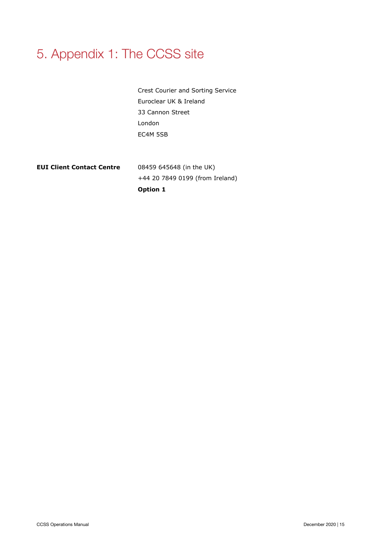# <span id="page-14-0"></span>5. Appendix 1: The CCSS site

Crest Courier and Sorting Service Euroclear UK & Ireland 33 Cannon Street London EC4M 5SB

#### **EUI Client Contact Centre** 08459 645648 (in the UK)

+44 20 7849 0199 (from Ireland) **Option 1**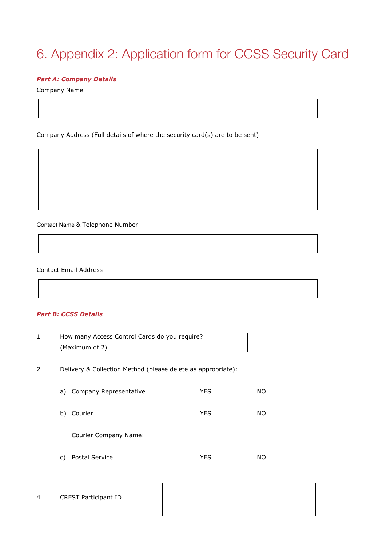# <span id="page-15-0"></span>6. Appendix 2: Application form for CCSS Security Card

#### *Part A: Company Details*

Company Name

Company Address (Full details of where the security card(s) are to be sent)

Contact Name & Telephone Number

Contact Email Address

#### *Part B: CCSS Details*

| 1 | How many Access Control Cards do you require?<br>(Maximum of 2) |            |     |  |  |  |  |  |
|---|-----------------------------------------------------------------|------------|-----|--|--|--|--|--|
| 2 | Delivery & Collection Method (please delete as appropriate):    |            |     |  |  |  |  |  |
|   | a) Company Representative                                       | <b>YES</b> | NO. |  |  |  |  |  |
|   | b)<br>Courier                                                   | <b>YES</b> | NO. |  |  |  |  |  |
|   | Courier Company Name:                                           |            |     |  |  |  |  |  |
|   | <b>Postal Service</b><br>C)                                     | <b>YES</b> | NO. |  |  |  |  |  |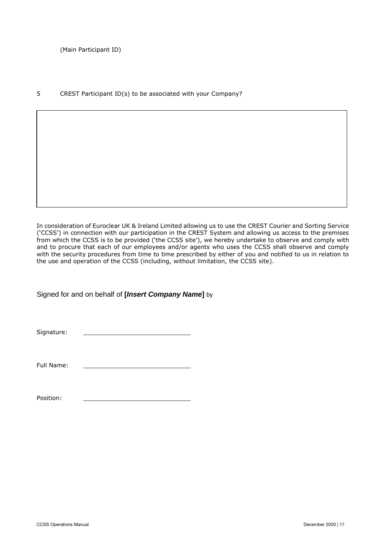#### 5 CREST Participant ID(s) to be associated with your Company?

In consideration of Euroclear UK & Ireland Limited allowing us to use the CREST Courier and Sorting Service ('CCSS') in connection with our participation in the CREST System and allowing us access to the premises from which the CCSS is to be provided ('the CCSS site'), we hereby undertake to observe and comply with and to procure that each of our employees and/or agents who uses the CCSS shall observe and comply with the security procedures from time to time prescribed by either of you and notified to us in relation to the use and operation of the CCSS (including, without limitation, the CCSS site).

Signed for and on behalf of **[***Insert Company Name***]** by

Signature:

| Full Name: |  |
|------------|--|
|------------|--|

Position: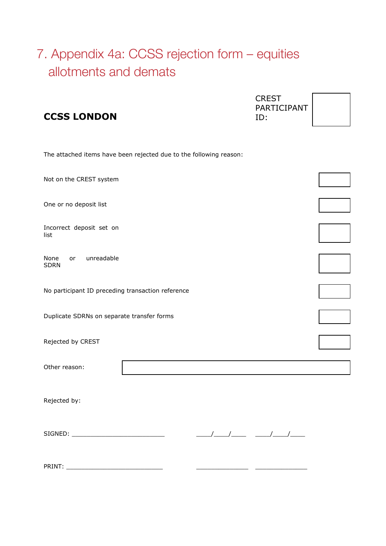# <span id="page-19-0"></span>7. Appendix 4a: CCSS rejection form – equities allotments and demats

| <b>CCSS LONDON</b>                                                 | PARTICIPANT<br>ID: |  |
|--------------------------------------------------------------------|--------------------|--|
|                                                                    |                    |  |
| The attached items have been rejected due to the following reason: |                    |  |
| Not on the CREST system                                            |                    |  |
| One or no deposit list                                             |                    |  |
| Incorrect deposit set on<br>list                                   |                    |  |
| unreadable<br>None<br>or<br><b>SDRN</b>                            |                    |  |
| No participant ID preceding transaction reference                  |                    |  |
| Duplicate SDRNs on separate transfer forms                         |                    |  |
| Rejected by CREST                                                  |                    |  |
| Other reason:                                                      |                    |  |
| Rejected by:                                                       |                    |  |
|                                                                    |                    |  |
|                                                                    |                    |  |

CREST PARTICIPANT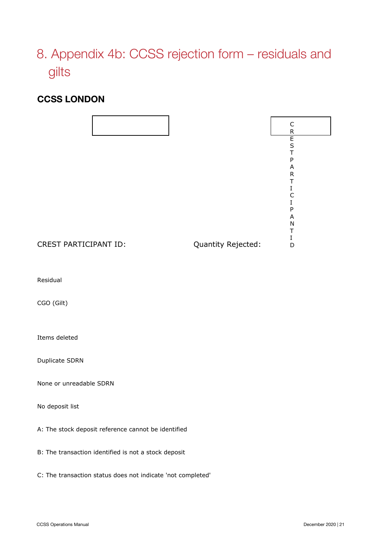# <span id="page-20-0"></span>8. Appendix 4b: CCSS rejection form – residuals and gilts

#### **CCSS LONDON**

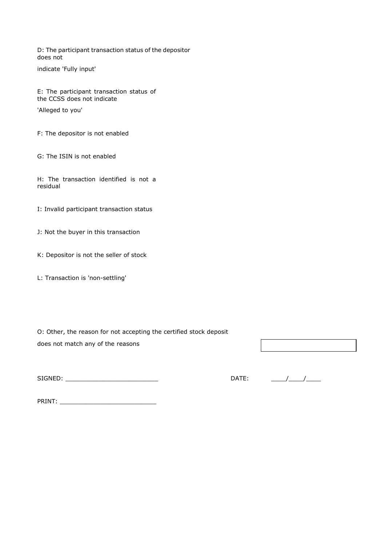D: The participant transaction status of the depositor does not

indicate 'Fully input'

E: The participant transaction status of the CCSS does not indicate

'Alleged to you'

F: The depositor is not enabled

G: The ISIN is not enabled

H: The transaction identified is not a residual

I: Invalid participant transaction status

J: Not the buyer in this transaction

K: Depositor is not the seller of stock

L: Transaction is 'non-settling'

O: Other, the reason for not accepting the certified stock deposit does not match any of the reasons

| SIGNED: |  |
|---------|--|
|---------|--|

DATE:  $\begin{array}{ccc} \hline & \end{array}$ 

PRINT: \_\_\_\_\_\_\_\_\_\_\_\_\_\_\_\_\_\_\_\_\_\_\_\_\_\_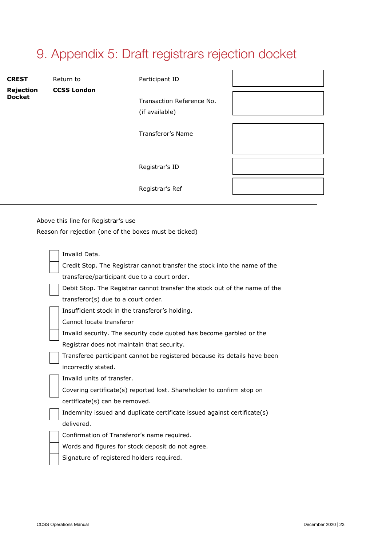# <span id="page-22-0"></span>9. Appendix 5: Draft registrars rejection docket

| <b>CREST</b>                      | Return to          | Participant ID                              |  |
|-----------------------------------|--------------------|---------------------------------------------|--|
| <b>Rejection</b><br><b>Docket</b> | <b>CCSS London</b> | Transaction Reference No.<br>(if available) |  |
|                                   |                    | Transferor's Name                           |  |
|                                   |                    | Registrar's ID                              |  |
|                                   |                    | Registrar's Ref                             |  |

Above this line for Registrar's use

Reason for rejection (one of the boxes must be ticked)

| Invalid Data.                                                              |
|----------------------------------------------------------------------------|
| Credit Stop. The Registrar cannot transfer the stock into the name of the  |
| transferee/participant due to a court order.                               |
| Debit Stop. The Registrar cannot transfer the stock out of the name of the |
| transferor(s) due to a court order.                                        |
| Insufficient stock in the transferor's holding.                            |
| Cannot locate transferor                                                   |
| Invalid security. The security code quoted has become garbled or the       |
| Registrar does not maintain that security.                                 |
| Transferee participant cannot be registered because its details have been  |
| incorrectly stated.                                                        |
| Invalid units of transfer.                                                 |
| Covering certificate(s) reported lost. Shareholder to confirm stop on      |
| certificate(s) can be removed.                                             |
| Indemnity issued and duplicate certificate issued against certificate(s)   |
| delivered.                                                                 |
| Confirmation of Transferor's name required.                                |
| Words and figures for stock deposit do not agree.                          |
| Signature of registered holders required.                                  |
|                                                                            |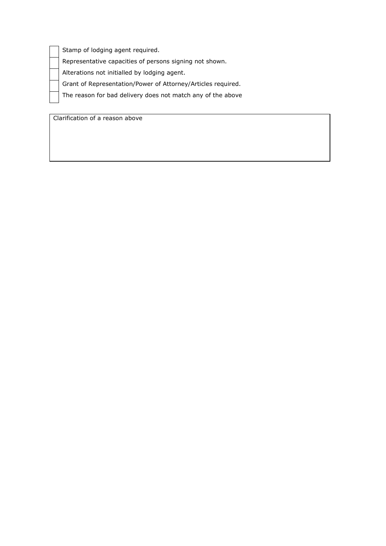Stamp of lodging agent required.

Representative capacities of persons signing not shown.

Alterations not initialled by lodging agent.

Grant of Representation/Power of Attorney/Articles required.

The reason for bad delivery does not match any of the above

Clarification of a reason above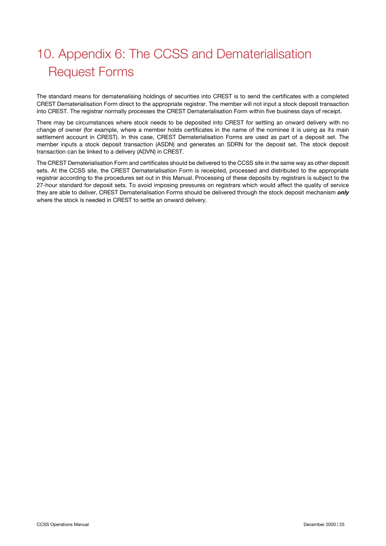# <span id="page-24-0"></span>10. Appendix 6: The CCSS and Dematerialisation Request Forms

The standard means for dematerialising holdings of securities into CREST is to send the certificates with a completed CREST Dematerialisation Form direct to the appropriate registrar. The member will not input a stock deposit transaction into CREST. The registrar normally processes the CREST Dematerialisation Form within five business days of receipt.

There may be circumstances where stock needs to be deposited into CREST for settling an onward delivery with no change of owner (for example, where a member holds certificates in the name of the nominee it is using as its main settlement account in CREST). In this case, CREST Dematerialisation Forms are used as part of a deposit set. The member inputs a stock deposit transaction (ASDN) and generates an SDRN for the deposit set. The stock deposit transaction can be linked to a delivery (ADVN) in CREST.

The CREST Dematerialisation Form and certificates should be delivered to the CCSS site in the same way as other deposit sets. At the CCSS site, the CREST Dematerialisation Form is receipted, processed and distributed to the appropriate registrar according to the procedures set out in this Manual. Processing of these deposits by registrars is subject to the 27-hour standard for deposit sets. To avoid imposing pressures on registrars which would affect the quality of service they are able to deliver, CREST Dematerialisation Forms should be delivered through the stock deposit mechanism *only* where the stock is needed in CREST to settle an onward delivery.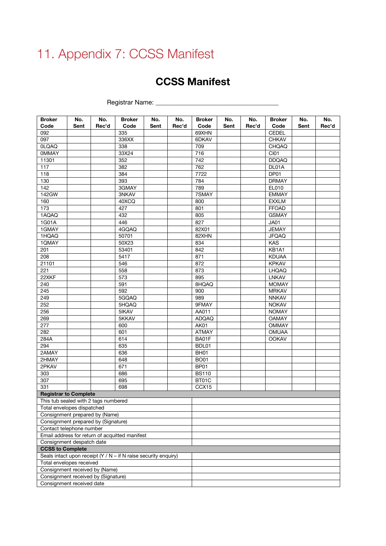# <span id="page-25-0"></span>11. Appendix 7: CCSS Manifest

## **CCSS Manifest**

| <b>Broker</b>                                                     | No.                            | No.   | <b>Broker</b> | No.  | No.   | <b>Broker</b> | No.  | No.   | <b>Broker</b> | No.  | No.   |
|-------------------------------------------------------------------|--------------------------------|-------|---------------|------|-------|---------------|------|-------|---------------|------|-------|
| Code                                                              | Sent                           | Rec'd | Code          | Sent | Rec'd | Code          | Sent | Rec'd | Code          | Sent | Rec'd |
| 092                                                               |                                |       | 335           |      |       | 69XHN         |      |       | <b>CEDEL</b>  |      |       |
| 097                                                               |                                |       | 336XX         |      |       | 6DKAV         |      |       | <b>CHKAV</b>  |      |       |
| <b>OLQAQ</b>                                                      |                                |       | 338           |      |       | 709           |      |       | CHQAQ         |      |       |
| <b>OMMAY</b>                                                      |                                |       | 33X24         |      |       | 716           |      |       | CI01          |      |       |
| 11301                                                             |                                |       | 352           |      |       | 742           |      |       | <b>DDQAQ</b>  |      |       |
| 117                                                               |                                |       | 382           |      |       | 762           |      |       | DL01A         |      |       |
| 118                                                               |                                |       | 384           |      |       | 7722          |      |       | DP01          |      |       |
| 130                                                               |                                |       | 393           |      |       | 784           |      |       | <b>DRMAY</b>  |      |       |
| 142                                                               |                                |       | 3GMAY         |      |       | 789           |      |       | EL010         |      |       |
| 142GW                                                             |                                |       | 3NKAV         |      |       | 7SMAY         |      |       | <b>EMMAY</b>  |      |       |
| 160                                                               |                                |       | 40XCQ         |      |       | 800           |      |       | <b>EXXLM</b>  |      |       |
| 173                                                               |                                |       | 427           |      |       | 801           |      |       | <b>FFOAD</b>  |      |       |
| 1AQAQ                                                             |                                |       | 432           |      |       | 805           |      |       | <b>GSMAY</b>  |      |       |
| 1G01A                                                             |                                |       | 446           |      |       | 827           |      |       | <b>JA01</b>   |      |       |
| 1GMAY                                                             |                                |       | 4GQAQ         |      |       | 82X01         |      |       | <b>JEMAY</b>  |      |       |
| 1HQAQ                                                             |                                |       | 50701         |      |       | 82XHN         |      |       | <b>JFQAQ</b>  |      |       |
| 1QMAY                                                             |                                |       | 50X23         |      |       | 834           |      |       | <b>KAS</b>    |      |       |
| 201                                                               |                                |       | 53401         |      |       | 842           |      |       | KB1A1         |      |       |
| 208                                                               |                                |       | 5417          |      |       | 871           |      |       | <b>KDUAA</b>  |      |       |
| 21101                                                             |                                |       | 546           |      |       | 872           |      |       | <b>KPKAV</b>  |      |       |
| 221                                                               |                                |       | 558           |      |       | 873           |      |       | LHQAQ         |      |       |
| 22XKF                                                             |                                |       | 573           |      |       | 895           |      |       | <b>LNKAV</b>  |      |       |
| 240                                                               |                                |       | 591           |      |       | 8HQAQ         |      |       | <b>MOMAY</b>  |      |       |
| 245                                                               |                                |       | 592           |      |       | 900           |      |       | <b>MRKAV</b>  |      |       |
| 249                                                               |                                |       | 5GQAQ         |      |       | 989           |      |       | <b>NNKAV</b>  |      |       |
| 252                                                               |                                |       | 5HQAQ         |      |       | 9FMAY         |      |       | <b>NOKAV</b>  |      |       |
| 256                                                               |                                |       | 5IKAV         |      |       | AA011         |      |       | <b>NOMAY</b>  |      |       |
| 269                                                               |                                |       | 5KKAV         |      |       | <b>ADQAQ</b>  |      |       | <b>OAMAY</b>  |      |       |
| 277                                                               |                                |       | 600           |      |       | AK01          |      |       | <b>OMMAY</b>  |      |       |
| 282                                                               |                                |       | 601           |      |       | <b>ATMAY</b>  |      |       | <b>OMUAA</b>  |      |       |
| 284A                                                              |                                |       | 614           |      |       | BA01F         |      |       | <b>OOKAV</b>  |      |       |
| 294                                                               |                                |       | 635           |      |       | BDL01         |      |       |               |      |       |
| 2AMAY                                                             |                                |       | 636           |      |       | BH01          |      |       |               |      |       |
| 2HMAY                                                             |                                |       | 648           |      |       | <b>BO01</b>   |      |       |               |      |       |
| 2PKAV                                                             |                                |       | 671           |      |       | <b>BP01</b>   |      |       |               |      |       |
| 303                                                               |                                |       | 686           |      |       | <b>BS110</b>  |      |       |               |      |       |
| 307                                                               |                                |       | 695           |      |       | BT01C         |      |       |               |      |       |
| 331                                                               |                                |       | 698           |      |       | CCX15         |      |       |               |      |       |
| <b>Registrar to Complete</b>                                      |                                |       |               |      |       |               |      |       |               |      |       |
| This tub sealed with 2 tags numbered                              |                                |       |               |      |       |               |      |       |               |      |       |
| Total envelopes dispatched                                        |                                |       |               |      |       |               |      |       |               |      |       |
| Consignment prepared by (Name)                                    |                                |       |               |      |       |               |      |       |               |      |       |
| Consignment prepared by (Signature)                               |                                |       |               |      |       |               |      |       |               |      |       |
| Contact telephone number                                          |                                |       |               |      |       |               |      |       |               |      |       |
| Email address for return of acquitted manifest                    |                                |       |               |      |       |               |      |       |               |      |       |
| Consignment despatch date                                         |                                |       |               |      |       |               |      |       |               |      |       |
| <b>CCSS to Complete</b>                                           |                                |       |               |      |       |               |      |       |               |      |       |
| Seals intact upon receipt $(Y / N - if N$ raise security enquiry) |                                |       |               |      |       |               |      |       |               |      |       |
| Total envelopes received                                          |                                |       |               |      |       |               |      |       |               |      |       |
|                                                                   | Consignment received by (Name) |       |               |      |       |               |      |       |               |      |       |
| Consignment received by (Signature)                               |                                |       |               |      |       |               |      |       |               |      |       |
| Consignment received date                                         |                                |       |               |      |       |               |      |       |               |      |       |

#### Registrar Name: \_\_\_\_\_\_\_\_\_\_\_\_\_\_\_\_\_\_\_\_\_\_\_\_\_\_\_\_\_\_\_\_\_\_\_\_\_\_